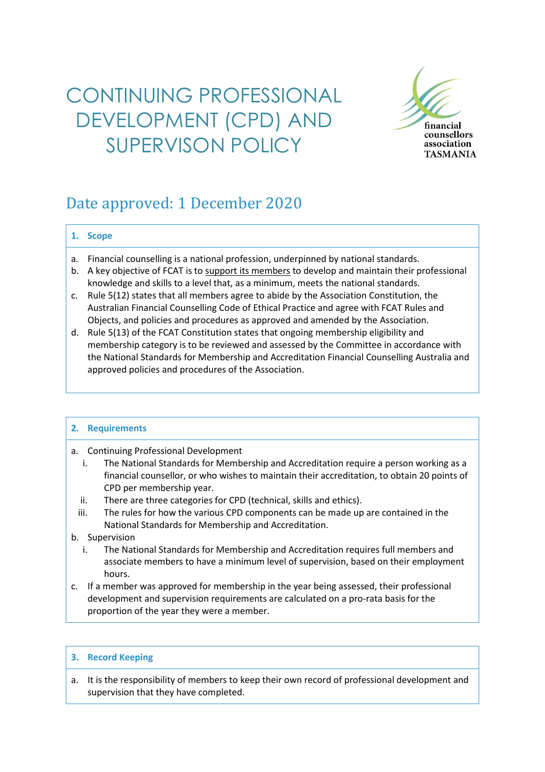# CONTINUING PROFESSIONAL DEVELOPMENT (CPD) AND SUPERVISON POLICY



## Date approved: 1 December 2020

### **1. Scope**

- a. Financial counselling is a national profession, underpinned by national standards.
- b. A key objective of FCAT is to support its members to develop and maintain their professional knowledge and skills to a level that, as a minimum, meets the national standards.
- c. Rule 5(12) states that all members agree to abide by the Association Constitution, the Australian Financial Counselling Code of Ethical Practice and agree with FCAT Rules and Objects, and policies and procedures as approved and amended by the Association.
- d. Rule 5(13) of the FCAT Constitution states that ongoing membership eligibility and membership category is to be reviewed and assessed by the Committee in accordance with the National Standards for Membership and Accreditation Financial Counselling Australia and approved policies and procedures of the Association.

### **2. Requirements**

- a. Continuing Professional Development
	- i. The National Standards for Membership and Accreditation require a person working as a financial counsellor, or who wishes to maintain their accreditation, to obtain 20 points of CPD per membership year.
	- ii. There are three categories for CPD (technical, skills and ethics).
	- iii. The rules for how the various CPD components can be made up are contained in the National Standards for Membership and Accreditation.
- b. Supervision
	- i. The National Standards for Membership and Accreditation requires full members and associate members to have a minimum level of supervision, based on their employment hours.
- c. If a member was approved for membership in the year being assessed, their professional development and supervision requirements are calculated on a pro-rata basis for the proportion of the year they were a member.

### **3. Record Keeping**

a. It is the responsibility of members to keep their own record of professional development and supervision that they have completed.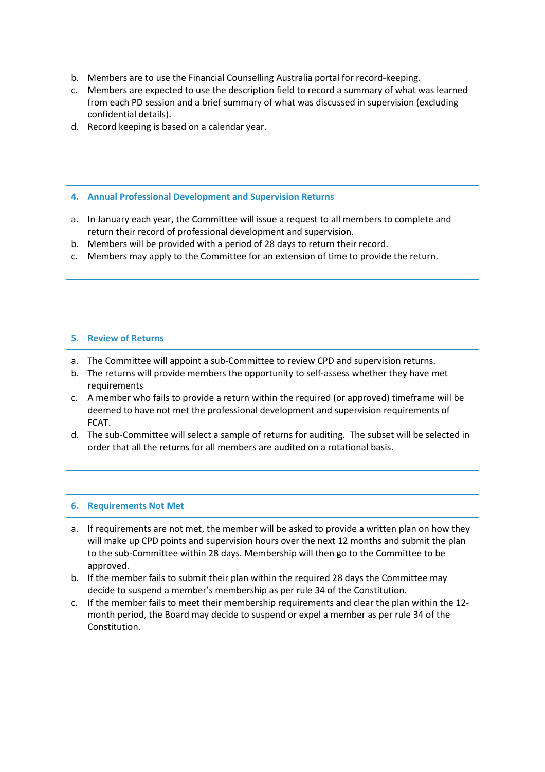- b. Members are to use the Financial Counselling Australia portal for record-keeping.
- c. Members are expected to use the description field to record a summary of what was learned from each PD session and a brief summary of what was discussed in supervision (excluding confidential details).
- d. Record keeping is based on a calendar year.

#### **4. Annual Professional Development and Supervision Returns**

- a. In January each year, the Committee will issue a request to all members to complete and return their record of professional development and supervision.
- b. Members will be provided with a period of 28 days to return their record.
- c. Members may apply to the Committee for an extension of time to provide the return.

### **5. Review of Returns**

- a. The Committee will appoint a sub-Committee to review CPD and supervision returns.
- b. The returns will provide members the opportunity to self-assess whether they have met requirements
- c. A member who fails to provide a return within the required (or approved) timeframe will be deemed to have not met the professional development and supervision requirements of FCAT.
- d. The sub-Committee will select a sample of returns for auditing. The subset will be selected in order that all the returns for all members are audited on a rotational basis.

### **6. Requirements Not Met**

- a. If requirements are not met, the member will be asked to provide a written plan on how they will make up CPD points and supervision hours over the next 12 months and submit the plan to the sub-Committee within 28 days. Membership will then go to the Committee to be approved.
- b. If the member fails to submit their plan within the required 28 days the Committee may decide to suspend a member's membership as per rule 34 of the Constitution.
- c. If the member fails to meet their membership requirements and clear the plan within the 12 month period, the Board may decide to suspend or expel a member as per rule 34 of the Constitution.